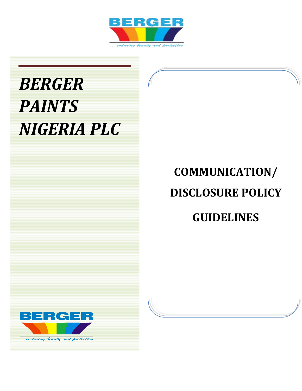

# *BERGER PAINTS NIGERIA PLC*

# **COMMUNICATION/ DISCLOSURE POLICY GUIDELINES**



...endaring beauty and protection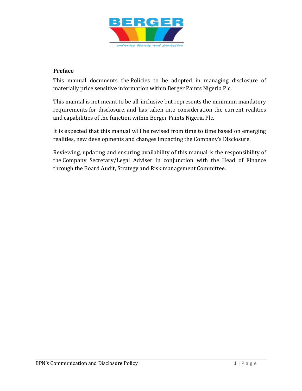

# **Preface**

This manual documents the Policies to be adopted in managing disclosure of materially price sensitive information within Berger Paints Nigeria Plc.

This manual is not meant to be all-inclusive but represents the minimum mandatory requirements for disclosure, and has taken into consideration the current realities and capabilities of the function within Berger Paints Nigeria Plc.

It is expected that this manual will be revised from time to time based on emerging realities, new developments and changes impacting the Company's Disclosure.

Reviewing, updating and ensuring availability of this manual is the responsibility of the Company Secretary/Legal Adviser in conjunction with the Head of Finance through the Board Audit, Strategy and Risk management Committee.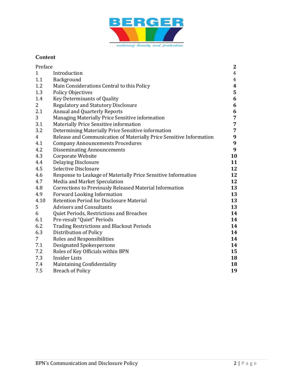

# **Content**

| Preface        |                                                                          |          |  |
|----------------|--------------------------------------------------------------------------|----------|--|
| $\mathbf{1}$   | Introduction                                                             |          |  |
| 1.1            | Background                                                               |          |  |
| 1.2            | Main Considerations Central to this Policy                               |          |  |
| 1.3            | <b>Policy Objectives</b>                                                 |          |  |
| 1.4            | Key Determinants of Quality                                              |          |  |
| 2              | <b>Regulatory and Statutory Disclosure</b>                               |          |  |
| 2.1            | <b>Annual and Quarterly Reports</b>                                      |          |  |
| 3              | Managing Materially Price Sensitive information                          |          |  |
| 3.1            | 7<br>Materially Price Sensitive information                              |          |  |
| 3.2            | $\overline{7}$<br>Determining Materially Price Sensitive information     |          |  |
| $\overline{4}$ | 9<br>Release and Communication of Materially Price Sensitive Information |          |  |
| 4.1            | $\boldsymbol{9}$<br><b>Company Announcements Procedures</b>              |          |  |
| 4.2            | 9<br><b>Disseminating Announcements</b>                                  |          |  |
| 4.3            | Corporate Website<br>10                                                  |          |  |
| 4.4            | <b>Delaying Disclosure</b><br>11                                         |          |  |
| 4.5            | 12<br>Selective Disclosure                                               |          |  |
| 4.6            | Response to Leakage of Materially Price Sensitive Information<br>12      |          |  |
| 4.7            | Media and Market Speculation<br>12                                       |          |  |
| 4.8            | <b>Corrections to Previously Released Material Information</b><br>13     |          |  |
| 4.9            | 13<br>Forward Looking Information                                        |          |  |
| 4.10           | Retention Period for Disclosure Material<br>13                           |          |  |
| 5              | <b>Advisers and Consultants</b><br>13                                    |          |  |
| 6              | Quiet Periods, Restrictions and Breaches<br>14                           |          |  |
| 6.1            | Pre-result "Quiet" Periods<br>14                                         |          |  |
| 6.2            | <b>Trading Restrictions and Blackout Periods</b><br>14                   |          |  |
| 6.3            | Distribution of Policy                                                   | 14       |  |
| 7              | Roles and Responsibilities                                               | 14<br>14 |  |
| 7.1            | <b>Designated Spokespersons</b>                                          |          |  |
| 7.2            | Roles of Key Officials within BPN<br>15                                  |          |  |
| 7.3            | <b>Insider Lists</b><br>18<br>18                                         |          |  |
| 7.4            | Maintaining Confidentiality                                              |          |  |
| 7.5            | <b>Breach of Policy</b>                                                  | 19       |  |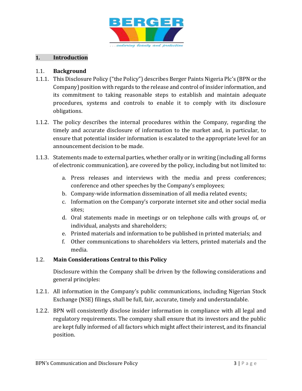

# **1. Introduction**

#### 1.1. **Background**

- 1.1.1. This Disclosure Policy ("the Policy") describes Berger Paints Nigeria Plc's (BPN or the Company) position with regards to the release and control of insider information, and its commitment to taking reasonable steps to establish and maintain adequate procedures, systems and controls to enable it to comply with its disclosure obligations.
- 1.1.2. The policy describes the internal procedures within the Company, regarding the timely and accurate disclosure of information to the market and, in particular, to ensure that potential insider information is escalated to the appropriate level for an announcement decision to be made.
- 1.1.3. Statements made to external parties, whether orally or in writing (including all forms of electronic communication), are covered by the policy, including but not limited to:
	- a. Press releases and interviews with the media and press conferences; conference and other speeches by the Company's employees;
	- b. Company-wide information dissemination of all media related events;
	- c. Information on the Company's corporate internet site and other social media sites;
	- d. Oral statements made in meetings or on telephone calls with groups of, or individual, analysts and shareholders;
	- e. Printed materials and information to be published in printed materials; and
	- f. Other communications to shareholders via letters, printed materials and the media.

# 1.2. **Main Considerations Central to this Policy**

Disclosure within the Company shall be driven by the following considerations and general principles:

- 1.2.1. All information in the Company's public communications, including Nigerian Stock Exchange (NSE) filings, shall be full, fair, accurate, timely and understandable.
- 1.2.2. BPN will consistently disclose insider information in compliance with all legal and regulatory requirements. The company shall ensure that its investors and the public are kept fully informed of all factors which might affect their interest, and its financial position.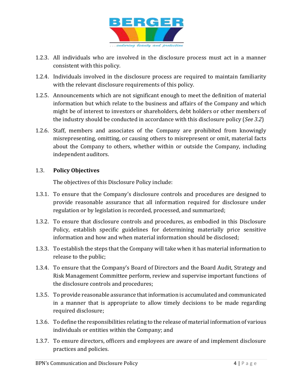

- 1.2.3. All individuals who are involved in the disclosure process must act in a manner consistent with this policy.
- 1.2.4. Individuals involved in the disclosure process are required to maintain familiarity with the relevant disclosure requirements of this policy.
- 1.2.5. Announcements which are not significant enough to meet the definition of material information but which relate to the business and affairs of the Company and which might be of interest to investors or shareholders, debt holders or other members of the industry should be conducted in accordance with this disclosure policy (*See 3.2*)
- 1.2.6. Staff, members and associates of the Company are prohibited from knowingly misrepresenting, omitting, or causing others to misrepresent or omit, material facts about the Company to others, whether within or outside the Company, including independent auditors.

### 1.3. **Policy Objectives**

The objectives of this Disclosure Policy include:

- 1.3.1. To ensure that the Company's disclosure controls and procedures are designed to provide reasonable assurance that all information required for disclosure under regulation or by legislation is recorded, processed, and summarized;
- 1.3.2. To ensure that disclosure controls and procedures, as embodied in this Disclosure Policy, establish specific guidelines for determining materially price sensitive information and how and when material information should be disclosed;
- 1.3.3. To establish the steps that the Company will take when it has material information to release to the public;
- 1.3.4. To ensure that the Company's Board of Directors and the Board Audit, Strategy and Risk Management Committee perform, review and supervise important functions of the disclosure controls and procedures;
- 1.3.5. To provide reasonable assurance that information is accumulated and communicated in a manner that is appropriate to allow timely decisions to be made regarding required disclosure;
- 1.3.6. To define the responsibilities relating to the release of material information of various individuals or entities within the Company; and
- 1.3.7. To ensure directors, officers and employees are aware of and implement disclosure practices and policies.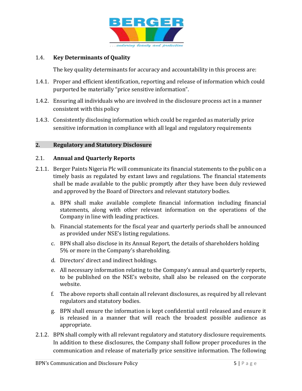

# 1.4. **Key Determinants of Quality**

The key quality determinants for accuracy and accountability in this process are:

- 1.4.1. Proper and efficient identification, reporting and release of information which could purported be materially "price sensitive information".
- 1.4.2. Ensuring all individuals who are involved in the disclosure process act in a manner consistent with this policy
- 1.4.3. Consistently disclosing information which could be regarded as materially price sensitive information in compliance with all legal and regulatory requirements

# **2. Regulatory and Statutory Disclosure**

#### 2.1. **Annual and Quarterly Reports**

- 2.1.1. Berger Paints Nigeria Plc will communicate its financial statements to the public on a timely basis as regulated by extant laws and regulations. The financial statements shall be made available to the public promptly after they have been duly reviewed and approved by the Board of Directors and relevant statutory bodies.
	- a. BPN shall make available complete financial information including financial statements, along with other relevant information on the operations of the Company in line with leading practices.
	- b. Financial statements for the fiscal year and quarterly periods shall be announced as provided under NSE's listing regulations.
	- c. BPN shall also disclose in its Annual Report, the details of shareholders holding 5% or more in the Company's shareholding.
	- d. Directors' direct and indirect holdings.
	- e. All necessary information relating to the Company's annual and quarterly reports, to be published on the NSE's website, shall also be released on the corporate website.
	- f. The above reports shall contain all relevant disclosures, as required by all relevant regulators and statutory bodies.
	- g. BPN shall ensure the information is kept confidential until released and ensure it is released in a manner that will reach the broadest possible audience as appropriate.
- 2.1.2. BPN shall comply with all relevant regulatory and statutory disclosure requirements. In addition to these disclosures, the Company shall follow proper procedures in the communication and release of materially price sensitive information. The following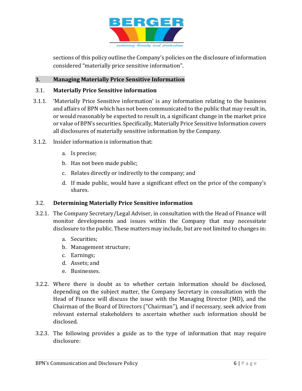

sections of this policy outline the Company's policies on the disclosure of information considered "materially price sensitive information".

# **3. Managing Materially Price Sensitive Information**

#### 3.1. **Materially Price Sensitive information**

- 3.1.1. 'Materially Price Sensitive information' is any information relating to the business and affairs of BPN which has not been communicated to the public that may result in, or would reasonably be expected to result in, a significant change in the market price or value of BPN's securities. Specifically, Materially Price Sensitive Information covers all disclosures of materially sensitive information by the Company.
- 3.1.2. Insider information is information that:
	- a. Is precise;
	- b. Has not been made public;
	- c. Relates directly or indirectly to the company; and
	- d. If made public, would have a significant effect on the price of the company's shares.

#### 3.2. **Determining Materially Price Sensitive information**

- 3.2.1. The Company Secretary/Legal Adviser, in consultation with the Head of Finance will monitor developments and issues within the Company that may necessitate disclosure to the public. These matters may include, but are not limited to changes in:
	- a. Securities;
	- b. Management structure;
	- c. Earnings;
	- d. Assets; and
	- e. Businesses.
- 3.2.2. Where there is doubt as to whether certain information should be disclosed, depending on the subject matter, the Company Secretary in consultation with the Head of Finance will discuss the issue with the Managing Director (MD), and the Chairman of the Board of Directors ("Chairman"), and if necessary, seek advice from relevant external stakeholders to ascertain whether such information should be disclosed.
- 3.2.3. The following provides a guide as to the type of information that may require disclosure: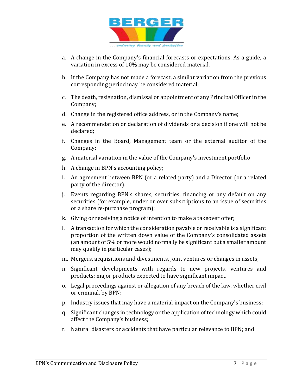

- a. A change in the Company's financial forecasts or expectations. As a guide, a variation in excess of 10% may be considered material.
- b. If the Company has not made a forecast, a similar variation from the previous corresponding period may be considered material;
- c. The death, resignation, dismissal or appointment of any Principal Officer in the Company;
- d. Change in the registered office address, or in the Company's name;
- e. A recommendation or declaration of dividends or a decision if one will not be declared;
- f. Changes in the Board, Management team or the external auditor of the Company;
- g. A material variation in the value of the Company's investment portfolio;
- h. A change in BPN's accounting policy;
- i. An agreement between BPN (or a related party) and a Director (or a related party of the director).
- j. Events regarding BPN's shares, securities, financing or any default on any securities (for example, under or over subscriptions to an issue of securities or a share re-purchase program);
- k. Giving or receiving a notice of intention to make a takeover offer;
- l. A transaction for which the consideration payable or receivable is a significant proportion of the written down value of the Company's consolidated assets (an amount of 5% or more would normally be significant but a smaller amount may qualify in particular cases);
- m. Mergers, acquisitions and divestments, joint ventures or changes in assets;
- n. Significant developments with regards to new projects, ventures and products; major products expected to have significant impact.
- o. Legal proceedings against or allegation of any breach of the law, whether civil or criminal, by BPN;
- p. Industry issues that may have a material impact on the Company's business;
- q. Significant changes in technology or the application of technology which could affect the Company's business;
- r. Natural disasters or accidents that have particular relevance to BPN; and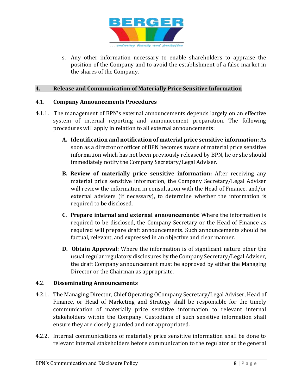

s. Any other information necessary to enable shareholders to appraise the position of the Company and to avoid the establishment of a false market in the shares of the Company.

#### **4. Release and Communication of Materially Price Sensitive Information**

#### 4.1. **Company Announcements Procedures**

- 4.1.1. The management of BPN's external announcements depends largely on an effective system of internal reporting and announcement preparation. The following procedures will apply in relation to all external announcements:
	- **A. Identification and notification of material price sensitive information:** As soon as a director or officer of BPN becomes aware of material price sensitive information which has not been previously released by BPN, he or she should immediately notify the Company Secretary/Legal Adviser.
	- **B. Review of materially price sensitive information:** After receiving any material price sensitive information, the Company Secretary/Legal Adviser will review the information in consultation with the Head of Finance, and/or external advisers (if necessary), to determine whether the information is required to be disclosed.
	- **C. Prepare internal and external announcements:** Where the information is required to be disclosed, the Company Secretary or the Head of Finance as required will prepare draft announcements. Such announcements should be factual, relevant, and expressed in an objective and clear manner.
	- **D. Obtain Approval:** Where the information is of significant nature other the usual regular regulatory disclosures by the Company Secretary/Legal Adviser, the draft Company announcement must be approved by either the Managing Director or the Chairman as appropriate.

#### 4.2. **Disseminating Announcements**

- 4.2.1. The Managing Director, Chief Operating OCompany Secretary/Legal Adviser, Head of Finance, or Head of Marketing and Strategy shall be responsible for the timely communication of materially price sensitive information to relevant internal stakeholders within the Company. Custodians of such sensitive information shall ensure they are closely guarded and not appropriated.
- 4.2.2. Internal communications of materially price sensitive information shall be done to relevant internal stakeholders before communication to the regulator or the general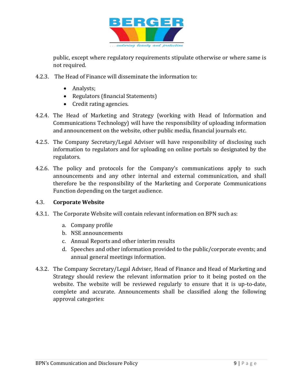

public, except where regulatory requirements stipulate otherwise or where same is not required.

- 4.2.3. The Head of Finance will disseminate the information to:
	- Analysts;
	- Regulators (financial Statements)
	- Credit rating agencies.
- 4.2.4. The Head of Marketing and Strategy (working with Head of Information and Communications Technology) will have the responsibility of uploading information and announcement on the website, other public media, financial journals etc.
- 4.2.5. The Company Secretary/Legal Adviser will have responsibility of disclosing such information to regulators and for uploading on online portals so designated by the regulators.
- 4.2.6. The policy and protocols for the Company's communications apply to such announcements and any other internal and external communication, and shall therefore be the responsibility of the Marketing and Corporate Communications Function depending on the target audience.

#### 4.3. **Corporate Website**

- 4.3.1. The Corporate Website will contain relevant information on BPN such as:
	- a. Company profile
	- b. NSE announcements
	- c. Annual Reports and other interim results
	- d. Speeches and other information provided to the public/corporate events; and annual general meetings information.
- 4.3.2. The Company Secretary/Legal Adviser, Head of Finance and Head of Marketing and Strategy should review the relevant information prior to it being posted on the website. The website will be reviewed regularly to ensure that it is up-to-date, complete and accurate. Announcements shall be classified along the following approval categories: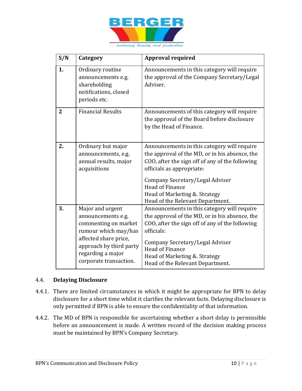

| S/N            | Category                                                                                                                                                                                  | <b>Approval required</b>                                                                                                                                                                                                                                                                                       |
|----------------|-------------------------------------------------------------------------------------------------------------------------------------------------------------------------------------------|----------------------------------------------------------------------------------------------------------------------------------------------------------------------------------------------------------------------------------------------------------------------------------------------------------------|
| 1.             | Ordinary routine<br>announcements e.g.<br>shareholding<br>notifications, closed<br>periods etc.                                                                                           | Announcements in this category will require<br>the approval of the Company Secretary/Legal<br>Adviser.                                                                                                                                                                                                         |
| $\overline{2}$ | <b>Financial Results</b>                                                                                                                                                                  | Announcements of this category will require<br>the approval of the Board before disclosure<br>by the Head of Finance.                                                                                                                                                                                          |
| 2.             | Ordinary but major<br>announcements, e.g.<br>annual results, major<br>acquisitions                                                                                                        | Announcements in this category will require<br>the approval of the MD, or in his absence, the<br>COO, after the sign off of any of the following<br>officials as appropriate:<br>Company Secretary/Legal Adviser<br><b>Head of Finance</b><br>Head of Marketing & Strategy<br>Head of the Relevant Department. |
| 3.             | Major and urgent<br>announcements e.g.<br>commenting on market<br>rumour which may/has<br>affected share price,<br>approach by third party<br>regarding a major<br>corporate transaction. | Announcements in this category will require<br>the approval of the MD, or in his absence, the<br>COO, after the sign off of any of the following<br>officials:<br>Company Secretary/Legal Adviser<br>Head of Finance<br>Head of Marketing &. Strategy<br>Head of the Relevant Department.                      |

# 4.4. **Delaying Disclosure**

- 4.4.1. There are limited circumstances in which it might be appropriate for BPN to delay disclosure for a short time whilst it clarifies the relevant facts. Delaying disclosure is only permitted if BPN is able to ensure the confidentiality of that information.
- 4.4.2. The MD of BPN is responsible for ascertaining whether a short delay is permissible before an announcement is made. A written record of the decision making process must be maintained by BPN's Company Secretary.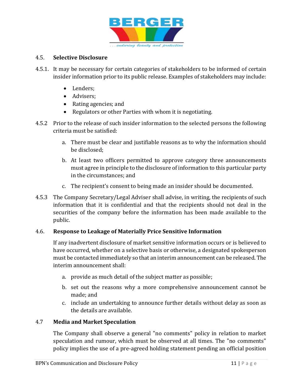

### 4.5. **Selective Disclosure**

- 4.5.1. It may be necessary for certain categories of stakeholders to be informed of certain insider information prior to its public release. Examples of stakeholders may include:
	- Lenders:
	- Advisers:
	- Rating agencies; and
	- Regulators or other Parties with whom it is negotiating.
- 4.5.2 Prior to the release of such insider information to the selected persons the following criteria must be satisfied:
	- a. There must be clear and justifiable reasons as to why the information should be disclosed;
	- b. At least two officers permitted to approve category three announcements must agree in principle to the disclosure of information to this particular party in the circumstances; and
	- c. The recipient's consent to being made an insider should be documented.
- 4.5.3 The Company Secretary/Legal Adviser shall advise, in writing, the recipients of such information that it is confidential and that the recipients should not deal in the securities of the company before the information has been made available to the public.

#### 4.6. **Response to Leakage of Materially Price Sensitive Information**

If any inadvertent disclosure of market sensitive information occurs or is believed to have occurred, whether on a selective basis or otherwise, a designated spokesperson must be contacted immediately so that an interim announcement can be released. The interim announcement shall:

- a. provide as much detail of the subject matter as possible;
- b. set out the reasons why a more comprehensive announcement cannot be made; and
- c. include an undertaking to announce further details without delay as soon as the details are available.

#### 4.7 **Media and Market Speculation**

The Company shall observe a general "no comments" policy in relation to market speculation and rumour, which must be observed at all times. The "no comments" policy implies the use of a pre-agreed holding statement pending an official position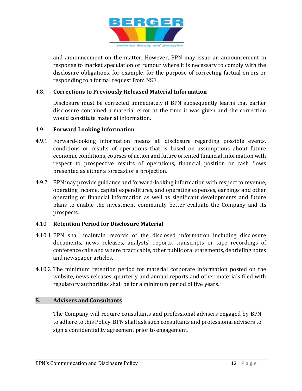

and announcement on the matter. However, BPN may issue an announcement in response to market speculation or rumour where it is necessary to comply with the disclosure obligations, for example, for the purpose of correcting factual errors or responding to a formal request from NSE.

### 4.8. **Corrections to Previously Released Material Information**

Disclosure must be corrected immediately if BPN subsequently learns that earlier disclosure contained a material error at the time it was given and the correction would constitute material information.

#### 4.9 **Forward Looking Information**

- 4.9.1 Forward-looking information means all disclosure regarding possible events, conditions or results of operations that is based on assumptions about future economic conditions, courses of action and future oriented financial information with respect to prospective results of operations, financial position or cash flows presented as either a forecast or a projection.
- 4.9.2 BPN may provide guidance and forward-looking information with respect to revenue, operating income, capital expenditures, and operating expenses, earnings and other operating or financial information as well as significant developments and future plans to enable the investment community better evaluate the Company and its prospects.

#### 4.10 **Retention Period for Disclosure Material**

- 4.10.1 BPN shall maintain records of the disclosed information including disclosure documents, news releases, analysts' reports, transcripts or tape recordings of conference calls and where practicable, other public oral statements, debriefing notes and newspaper articles.
- 4.10.2 The minimum retention period for material corporate information posted on the website, news releases, quarterly and annual reports and other materials filed with regulatory authorities shall be for a minimum period of five years.

#### **5. Advisers and Consultants**

The Company will require consultants and professional advisers engaged by BPN to adhere to this Policy. BPN shall ask such consultants and professional advisers to sign a confidentiality agreement prior to engagement.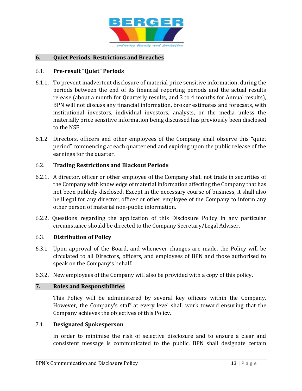

### **6. Quiet Periods, Restrictions and Breaches**

#### 6.1. **Pre-result "Quiet" Periods**

- 6.1.1. To prevent inadvertent disclosure of material price sensitive information, during the periods between the end of its financial reporting periods and the actual results release (about a month for Quarterly results, and 3 to 4 months for Annual results), BPN will not discuss any financial information, broker estimates and forecasts, with institutional investors, individual investors, analysts, or the media unless the materially price sensitive information being discussed has previously been disclosed to the NSE.
- 6.1.2 Directors, officers and other employees of the Company shall observe this "quiet period" commencing at each quarter end and expiring upon the public release of the earnings for the quarter.

#### 6.2. **Trading Restrictions and Blackout Periods**

- 6.2.1. A director, officer or other employee of the Company shall not trade in securities of the Company with knowledge of material information affecting the Company that has not been publicly disclosed. Except in the necessary course of business, it shall also be illegal for any director, officer or other employee of the Company to inform any other person of material non-public information.
- 6.2.2. Questions regarding the application of this Disclosure Policy in any particular circumstance should be directed to the Company Secretary/Legal Adviser.

#### 6.3. **Distribution of Policy**

- 6.3.1 Upon approval of the Board, and whenever changes are made, the Policy will be circulated to all Directors, officers, and employees of BPN and those authorised to speak on the Company's behalf.
- 6.3.2. New employees of the Company will also be provided with a copy of this policy.

#### **7. Roles and Responsibilities**

This Policy will be administered by several key officers within the Company. However, the Company's staff at every level shall work toward ensuring that the Company achieves the objectives of this Policy.

#### 7.1. **Designated Spokesperson**

In order to minimise the risk of selective disclosure and to ensure a clear and consistent message is communicated to the public, BPN shall designate certain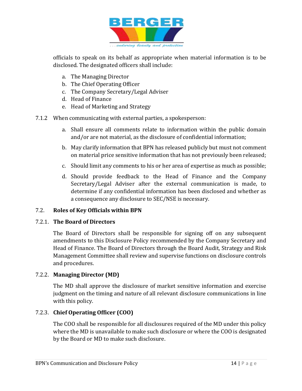

officials to speak on its behalf as appropriate when material information is to be disclosed. The designated officers shall include:

- a. The Managing Director
- b. The Chief Operating Officer
- c. The Company Secretary/Legal Adviser
- d. Head of Finance
- e. Head of Marketing and Strategy
- 7.1.2 When communicating with external parties, a spokesperson:
	- a. Shall ensure all comments relate to information within the public domain and/or are not material, as the disclosure of confidential information;
	- b. May clarify information that BPN has released publicly but must not comment on material price sensitive information that has not previously been released;
	- c. Should limit any comments to his or her area of expertise as much as possible;
	- d. Should provide feedback to the Head of Finance and the Company Secretary/Legal Adviser after the external communication is made, to determine if any confidential information has been disclosed and whether as a consequence any disclosure to SEC/NSE is necessary.

# 7.2. **Roles of Key Officials within BPN**

# 7.2.1. **The Board of Directors**

The Board of Directors shall be responsible for signing off on any subsequent amendments to this Disclosure Policy recommended by the Company Secretary and Head of Finance. The Board of Directors through the Board Audit, Strategy and Risk Management Committee shall review and supervise functions on disclosure controls and procedures.

# 7.2.2. **Managing Director (MD)**

The MD shall approve the disclosure of market sensitive information and exercise judgment on the timing and nature of all relevant disclosure communications in line with this policy.

# 7.2.3. **Chief Operating Officer (COO)**

The COO shall be responsible for all disclosures required of the MD under this policy where the MD is unavailable to make such disclosure or where the COO is designated by the Board or MD to make such disclosure.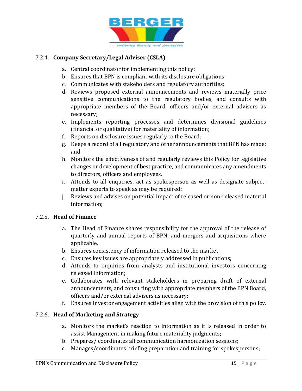

# 7.2.4. **Company Secretary/Legal Adviser (CSLA)**

- a. Central coordinator for implementing this policy;
- b. Ensures that BPN is compliant with its disclosure obligations;
- c. Communicates with stakeholders and regulatory authorities;
- d. Reviews proposed external announcements and reviews materially price sensitive communications to the regulatory bodies, and consults with appropriate members of the Board, officers and/or external advisers as necessary;
- e. Implements reporting processes and determines divisional guidelines (financial or qualitative) for materiality of information;
- f. Reports on disclosure issues regularly to the Board;
- g. Keeps a record of all regulatory and other announcements that BPN has made; and
- h. Monitors the effectiveness of and regularly reviews this Policy for legislative changes or development of best practice, and communicates any amendments to directors, officers and employees.
- i. Attends to all enquiries, act as spokesperson as well as designate subjectmatter experts to speak as may be required;
- j. Reviews and advises on potential impact of released or non-released material information;

#### 7.2.5. **Head of Finance**

- a. The Head of Finance shares responsibility for the approval of the release of quarterly and annual reports of BPN, and mergers and acquisitions where applicable.
- b. Ensures consistency of information released to the market;
- c. Ensures key issues are appropriately addressed in publications;
- d. Attends to inquiries from analysts and institutional investors concerning released information;
- e. Collaborates with relevant stakeholders in preparing draft of external announcements, and consulting with appropriate members of the BPN Board, officers and/or external advisers as necessary;
- f. Ensures Investor engagement activities align with the provision of this policy.

# 7.2.6. **Head of Marketing and Strategy**

- a. Monitors the market's reaction to information as it is released in order to assist Management in making future materiality judgments;
- b. Prepares/ coordinates all communication harmonization sessions;
- c. Manages/coordinates briefing preparation and training for spokespersons;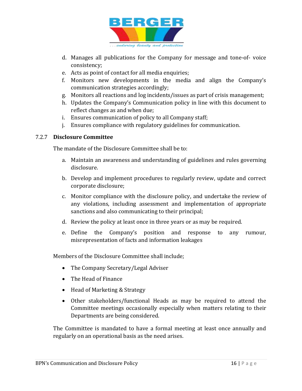

- d. Manages all publications for the Company for message and tone-of- voice consistency;
- e. Acts as point of contact for all media enquiries;
- f. Monitors new developments in the media and align the Company's communication strategies accordingly;
- g. Monitors all reactions and log incidents/issues as part of crisis management;
- h. Updates the Company's Communication policy in line with this document to reflect changes as and when due;
- i. Ensures communication of policy to all Company staff;
- j. Ensures compliance with regulatory guidelines for communication.

#### 7.2.7 **Disclosure Committee**

The mandate of the Disclosure Committee shall be to:

- a. Maintain an awareness and understanding of guidelines and rules governing disclosure.
- b. Develop and implement procedures to regularly review, update and correct corporate disclosure;
- c. Monitor compliance with the disclosure policy, and undertake the review of any violations, including assessment and implementation of appropriate sanctions and also communicating to their principal;
- d. Review the policy at least once in three years or as may be required.
- e. Define the Company's position and response to any rumour, misrepresentation of facts and information leakages

Members of the Disclosure Committee shall include;

- The Company Secretary/Legal Adviser
- The Head of Finance
- Head of Marketing & Strategy
- Other stakeholders/functional Heads as may be required to attend the Committee meetings occasionally especially when matters relating to their Departments are being considered.

The Committee is mandated to have a formal meeting at least once annually and regularly on an operational basis as the need arises.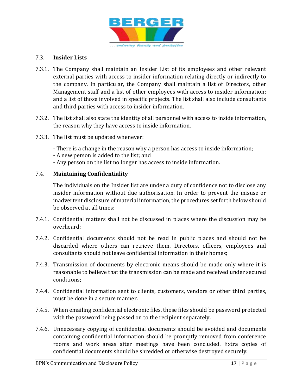

# 7.3. **Insider Lists**

- 7.3.1. The Company shall maintain an Insider List of its employees and other relevant external parties with access to insider information relating directly or indirectly to the company. In particular, the Company shall maintain a list of Directors, other Management staff and a list of other employees with access to insider information; and a list of those involved in specific projects. The list shall also include consultants and third parties with access to insider information.
- 7.3.2. The list shall also state the identity of all personnel with access to inside information, the reason why they have access to inside information.
- 7.3.3. The list must be updated whenever:
	- There is a change in the reason why a person has access to inside information;
	- A new person is added to the list; and
	- Any person on the list no longer has access to inside information.

#### 7.4. **Maintaining Confidentiality**

The individuals on the Insider list are under a duty of confidence not to disclose any insider information without due authorisation. In order to prevent the misuse or inadvertent disclosure of material information, the procedures set forth below should be observed at all times:

- 7.4.1. Confidential matters shall not be discussed in places where the discussion may be overheard;
- 7.4.2. Confidential documents should not be read in public places and should not be discarded where others can retrieve them. Directors, officers, employees and consultants should not leave confidential information in their homes;
- 7.4.3. Transmission of documents by electronic means should be made only where it is reasonable to believe that the transmission can be made and received under secured conditions;
- 7.4.4. Confidential information sent to clients, customers, vendors or other third parties, must be done in a secure manner.
- 7.4.5. When emailing confidential electronic files, those files should be password protected with the password being passed on to the recipient separately.
- 7.4.6. Unnecessary copying of confidential documents should be avoided and documents containing confidential information should be promptly removed from conference rooms and work areas after meetings have been concluded. Extra copies of confidential documents should be shredded or otherwise destroyed securely.